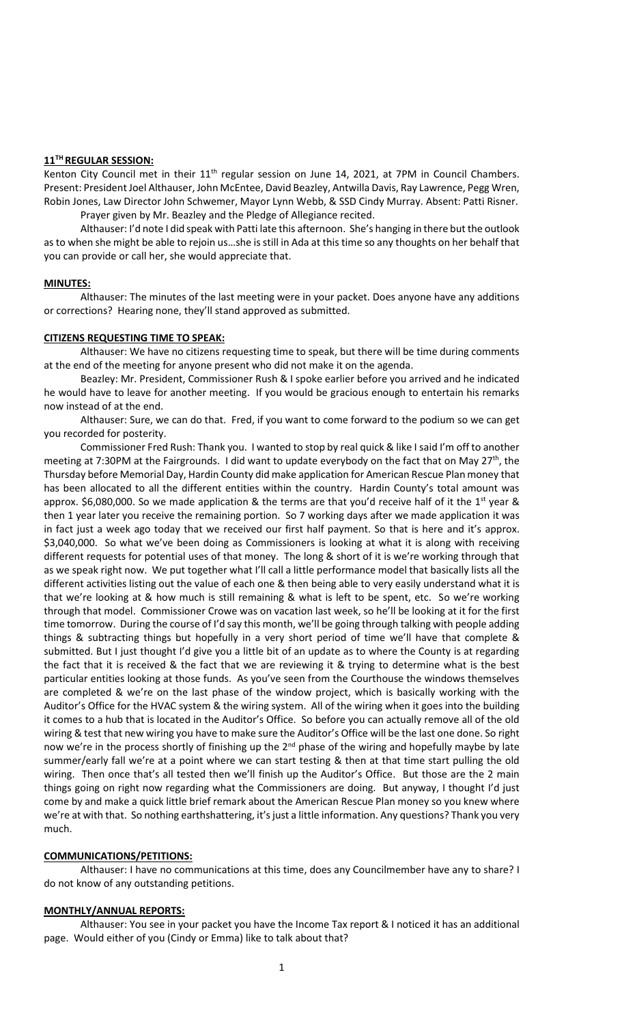## **11TH REGULAR SESSION:**

Kenton City Council met in their 11<sup>th</sup> regular session on June 14, 2021, at 7PM in Council Chambers. Present: President Joel Althauser, John McEntee, David Beazley, Antwilla Davis, Ray Lawrence, Pegg Wren, Robin Jones, Law Director John Schwemer, Mayor Lynn Webb, & SSD Cindy Murray. Absent: Patti Risner.

Prayer given by Mr. Beazley and the Pledge of Allegiance recited.

Althauser: I'd note I did speak with Patti late this afternoon. She's hanging in there but the outlook as to when she might be able to rejoin us…she is still in Ada at this time so any thoughts on her behalf that you can provide or call her, she would appreciate that.

### **MINUTES:**

Althauser: The minutes of the last meeting were in your packet. Does anyone have any additions or corrections? Hearing none, they'll stand approved as submitted.

### **CITIZENS REQUESTING TIME TO SPEAK:**

Althauser: We have no citizens requesting time to speak, but there will be time during comments at the end of the meeting for anyone present who did not make it on the agenda.

Beazley: Mr. President, Commissioner Rush & I spoke earlier before you arrived and he indicated he would have to leave for another meeting. If you would be gracious enough to entertain his remarks now instead of at the end.

Althauser: Sure, we can do that. Fred, if you want to come forward to the podium so we can get you recorded for posterity.

Commissioner Fred Rush: Thank you. I wanted to stop by real quick & like I said I'm off to another meeting at 7:30PM at the Fairgrounds. I did want to update everybody on the fact that on May 27<sup>th</sup>, the Thursday before Memorial Day, Hardin County did make application for American Rescue Plan money that has been allocated to all the different entities within the country. Hardin County's total amount was approx. \$6,080,000. So we made application & the terms are that you'd receive half of it the 1<sup>st</sup> year & then 1 year later you receive the remaining portion. So 7 working days after we made application it was in fact just a week ago today that we received our first half payment. So that is here and it's approx. \$3,040,000. So what we've been doing as Commissioners is looking at what it is along with receiving different requests for potential uses of that money. The long & short of it is we're working through that as we speak right now. We put together what I'll call a little performance model that basically lists all the different activities listing out the value of each one & then being able to very easily understand what it is that we're looking at & how much is still remaining & what is left to be spent, etc. So we're working through that model. Commissioner Crowe was on vacation last week, so he'll be looking at it for the first time tomorrow. During the course of I'd say this month, we'll be going through talking with people adding things & subtracting things but hopefully in a very short period of time we'll have that complete & submitted. But I just thought I'd give you a little bit of an update as to where the County is at regarding the fact that it is received & the fact that we are reviewing it & trying to determine what is the best particular entities looking at those funds. As you've seen from the Courthouse the windows themselves are completed & we're on the last phase of the window project, which is basically working with the Auditor's Office for the HVAC system & the wiring system. All of the wiring when it goes into the building it comes to a hub that is located in the Auditor's Office. So before you can actually remove all of the old wiring & test that new wiring you have to make sure the Auditor's Office will be the last one done. So right now we're in the process shortly of finishing up the 2<sup>nd</sup> phase of the wiring and hopefully maybe by late summer/early fall we're at a point where we can start testing & then at that time start pulling the old wiring. Then once that's all tested then we'll finish up the Auditor's Office. But those are the 2 main things going on right now regarding what the Commissioners are doing. But anyway, I thought I'd just come by and make a quick little brief remark about the American Rescue Plan money so you knew where we're at with that. So nothing earthshattering, it's just a little information. Any questions? Thank you very much.

# **COMMUNICATIONS/PETITIONS:**

Althauser: I have no communications at this time, does any Councilmember have any to share? I do not know of any outstanding petitions.

# **MONTHLY/ANNUAL REPORTS:**

Althauser: You see in your packet you have the Income Tax report & I noticed it has an additional page. Would either of you (Cindy or Emma) like to talk about that?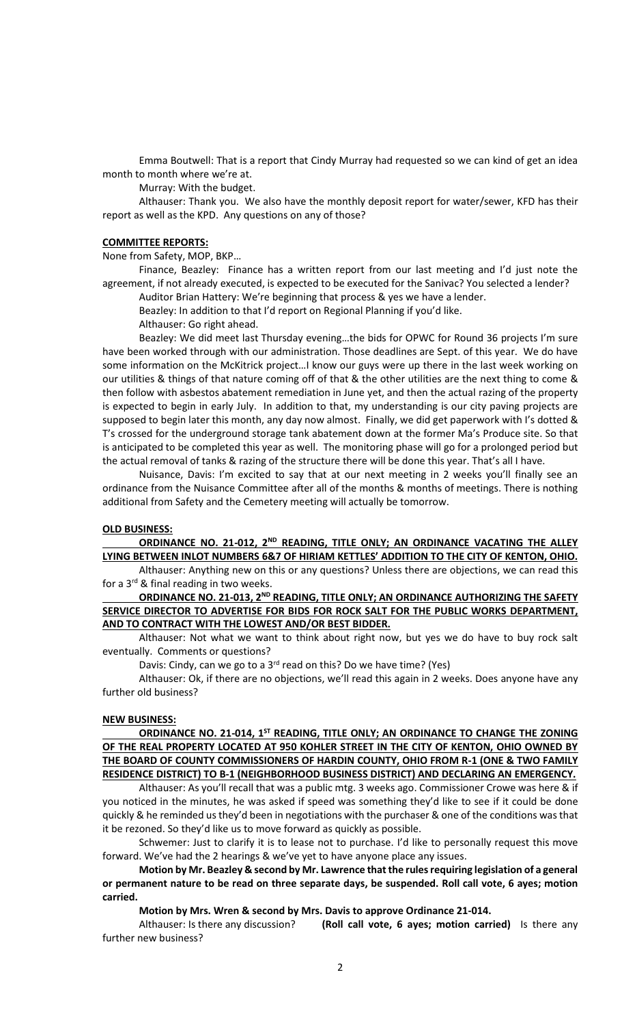Emma Boutwell: That is a report that Cindy Murray had requested so we can kind of get an idea month to month where we're at.

Murray: With the budget.

Althauser: Thank you. We also have the monthly deposit report for water/sewer, KFD has their report as well as the KPD. Any questions on any of those?

#### **COMMITTEE REPORTS:**

None from Safety, MOP, BKP…

Finance, Beazley: Finance has a written report from our last meeting and I'd just note the agreement, if not already executed, is expected to be executed for the Sanivac? You selected a lender?

Auditor Brian Hattery: We're beginning that process & yes we have a lender.

Beazley: In addition to that I'd report on Regional Planning if you'd like.

Althauser: Go right ahead.

Beazley: We did meet last Thursday evening…the bids for OPWC for Round 36 projects I'm sure have been worked through with our administration. Those deadlines are Sept. of this year. We do have some information on the McKitrick project…I know our guys were up there in the last week working on our utilities & things of that nature coming off of that & the other utilities are the next thing to come & then follow with asbestos abatement remediation in June yet, and then the actual razing of the property is expected to begin in early July. In addition to that, my understanding is our city paving projects are supposed to begin later this month, any day now almost. Finally, we did get paperwork with I's dotted & T's crossed for the underground storage tank abatement down at the former Ma's Produce site. So that is anticipated to be completed this year as well. The monitoring phase will go for a prolonged period but the actual removal of tanks & razing of the structure there will be done this year. That's all I have.

Nuisance, Davis: I'm excited to say that at our next meeting in 2 weeks you'll finally see an ordinance from the Nuisance Committee after all of the months & months of meetings. There is nothing additional from Safety and the Cemetery meeting will actually be tomorrow.

## **OLD BUSINESS:**

**ORDINANCE NO. 21-012, 2ND READING, TITLE ONLY; AN ORDINANCE VACATING THE ALLEY LYING BETWEEN INLOT NUMBERS 6&7 OF HIRIAM KETTLES' ADDITION TO THE CITY OF KENTON, OHIO.**

Althauser: Anything new on this or any questions? Unless there are objections, we can read this for a  $3^{rd}$  & final reading in two weeks.

**ORDINANCE NO. 21-013, 2ND READING, TITLE ONLY; AN ORDINANCE AUTHORIZING THE SAFETY SERVICE DIRECTOR TO ADVERTISE FOR BIDS FOR ROCK SALT FOR THE PUBLIC WORKS DEPARTMENT, AND TO CONTRACT WITH THE LOWEST AND/OR BEST BIDDER.**

Althauser: Not what we want to think about right now, but yes we do have to buy rock salt eventually. Comments or questions?

Davis: Cindy, can we go to a  $3^{rd}$  read on this? Do we have time? (Yes)

Althauser: Ok, if there are no objections, we'll read this again in 2 weeks. Does anyone have any further old business?

#### **NEW BUSINESS:**

**ORDINANCE NO. 21-014, 1ST READING, TITLE ONLY; AN ORDINANCE TO CHANGE THE ZONING OF THE REAL PROPERTY LOCATED AT 950 KOHLER STREET IN THE CITY OF KENTON, OHIO OWNED BY THE BOARD OF COUNTY COMMISSIONERS OF HARDIN COUNTY, OHIO FROM R-1 (ONE & TWO FAMILY RESIDENCE DISTRICT) TO B-1 (NEIGHBORHOOD BUSINESS DISTRICT) AND DECLARING AN EMERGENCY.** 

Althauser: As you'll recall that was a public mtg. 3 weeks ago. Commissioner Crowe was here & if you noticed in the minutes, he was asked if speed was something they'd like to see if it could be done quickly & he reminded us they'd been in negotiations with the purchaser & one of the conditions was that it be rezoned. So they'd like us to move forward as quickly as possible.

Schwemer: Just to clarify it is to lease not to purchase. I'd like to personally request this move forward. We've had the 2 hearings & we've yet to have anyone place any issues.

**Motion by Mr. Beazley & second by Mr. Lawrence that the rules requiring legislation of a general or permanent nature to be read on three separate days, be suspended. Roll call vote, 6 ayes; motion carried.** 

**Motion by Mrs. Wren & second by Mrs. Davis to approve Ordinance 21-014.**

Althauser: Is there any discussion? **(Roll call vote, 6 ayes; motion carried)** Is there any further new business?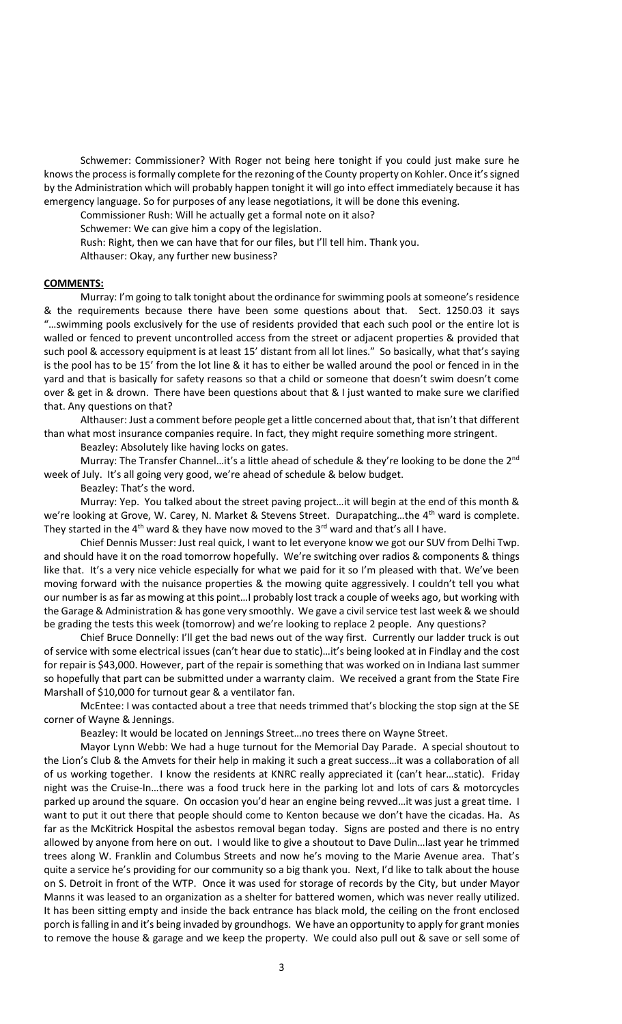Schwemer: Commissioner? With Roger not being here tonight if you could just make sure he knows the process is formally complete for the rezoning of the County property on Kohler. Once it's signed by the Administration which will probably happen tonight it will go into effect immediately because it has emergency language. So for purposes of any lease negotiations, it will be done this evening.

Commissioner Rush: Will he actually get a formal note on it also?

Schwemer: We can give him a copy of the legislation.

Rush: Right, then we can have that for our files, but I'll tell him. Thank you.

Althauser: Okay, any further new business?

#### **COMMENTS:**

Murray: I'm going to talk tonight about the ordinance for swimming pools at someone's residence & the requirements because there have been some questions about that. Sect. 1250.03 it says "…swimming pools exclusively for the use of residents provided that each such pool or the entire lot is walled or fenced to prevent uncontrolled access from the street or adjacent properties & provided that such pool & accessory equipment is at least 15' distant from all lot lines." So basically, what that's saying is the pool has to be 15' from the lot line & it has to either be walled around the pool or fenced in in the yard and that is basically for safety reasons so that a child or someone that doesn't swim doesn't come over & get in & drown. There have been questions about that & I just wanted to make sure we clarified that. Any questions on that?

Althauser: Just a comment before people get a little concerned about that, that isn't that different than what most insurance companies require. In fact, they might require something more stringent.

Beazley: Absolutely like having locks on gates.

Murray: The Transfer Channel...it's a little ahead of schedule & they're looking to be done the 2<sup>nd</sup> week of July. It's all going very good, we're ahead of schedule & below budget.

#### Beazley: That's the word.

Murray: Yep. You talked about the street paving project…it will begin at the end of this month & we're looking at Grove, W. Carey, N. Market & Stevens Street. Durapatching...the 4<sup>th</sup> ward is complete. They started in the 4<sup>th</sup> ward & they have now moved to the 3<sup>rd</sup> ward and that's all I have.

Chief Dennis Musser: Just real quick, I want to let everyone know we got our SUV from Delhi Twp. and should have it on the road tomorrow hopefully. We're switching over radios & components & things like that. It's a very nice vehicle especially for what we paid for it so I'm pleased with that. We've been moving forward with the nuisance properties & the mowing quite aggressively. I couldn't tell you what our number is as far as mowing at this point…I probably lost track a couple of weeks ago, but working with the Garage & Administration & has gone very smoothly. We gave a civil service test last week & we should be grading the tests this week (tomorrow) and we're looking to replace 2 people. Any questions?

Chief Bruce Donnelly: I'll get the bad news out of the way first. Currently our ladder truck is out of service with some electrical issues (can't hear due to static)…it's being looked at in Findlay and the cost for repair is \$43,000. However, part of the repair is something that was worked on in Indiana last summer so hopefully that part can be submitted under a warranty claim. We received a grant from the State Fire Marshall of \$10,000 for turnout gear & a ventilator fan.

McEntee: I was contacted about a tree that needs trimmed that's blocking the stop sign at the SE corner of Wayne & Jennings.

Beazley: It would be located on Jennings Street…no trees there on Wayne Street.

Mayor Lynn Webb: We had a huge turnout for the Memorial Day Parade. A special shoutout to the Lion's Club & the Amvets for their help in making it such a great success…it was a collaboration of all of us working together. I know the residents at KNRC really appreciated it (can't hear…static). Friday night was the Cruise-In…there was a food truck here in the parking lot and lots of cars & motorcycles parked up around the square. On occasion you'd hear an engine being revved…it was just a great time. I want to put it out there that people should come to Kenton because we don't have the cicadas. Ha. As far as the McKitrick Hospital the asbestos removal began today. Signs are posted and there is no entry allowed by anyone from here on out. I would like to give a shoutout to Dave Dulin…last year he trimmed trees along W. Franklin and Columbus Streets and now he's moving to the Marie Avenue area. That's quite a service he's providing for our community so a big thank you. Next, I'd like to talk about the house on S. Detroit in front of the WTP. Once it was used for storage of records by the City, but under Mayor Manns it was leased to an organization as a shelter for battered women, which was never really utilized. It has been sitting empty and inside the back entrance has black mold, the ceiling on the front enclosed porch is falling in and it's being invaded by groundhogs. We have an opportunity to apply for grant monies to remove the house & garage and we keep the property. We could also pull out & save or sell some of